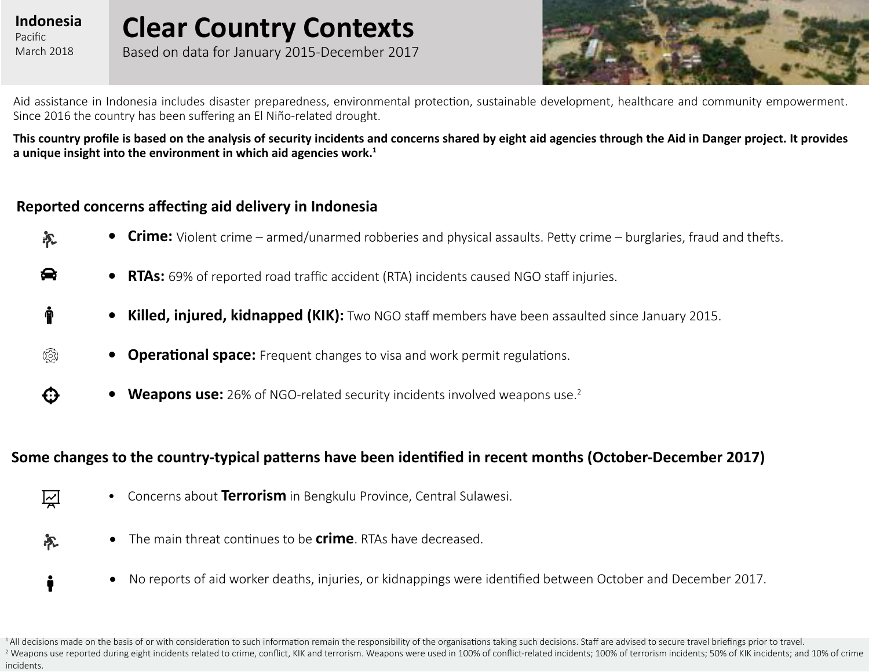#### **Indonesia** Pacific March 2018

 $\bullet$ 

ĥ

心

 $\bf G$ 

(ලි)

i

永

 $\mathbb{Z}$ 

# **Clear Country Contexts**

Based on data for January 2015-December 2017



Aid assistance in Indonesia includes disaster preparedness, environmental protection, sustainable development, healthcare and community empowerment. Since 2016 the country has been suffering an El Niño-related drought.

**This country profile is based on the analysis of security incidents and concerns shared by eight aid agencies through the Aid in Danger project. It provides a unique insight into the environment in which aid agencies work.<sup>1</sup>** 

#### **Reported concerns affecting aid delivery in Indonesia**

- **• Crime:** Violent crime armed/unarmed robberies and physical assaults. Petty crime burglaries, fraud and thefts.
	- **• RTAs:** 69% of reported road traffic accident (RTA) incidents caused NGO staff injuries.
	- **• Killed, injured, kidnapped (KIK):** Two NGO staff members have been assaulted since January 2015.
	- **•• Operational space:** Frequent changes to visa and work permit regulations.
		- **• Weapons use:** 26% of NGO-related security incidents involved weapons use.<sup>2</sup>

#### **Some changes to the country-typical patterns have been identified in recent months (October-December 2017)**

- Concerns about **Terrorism** in Bengkulu Province, Central Sulawesi.
- • The main threat continues to be **crime**. RTAs have decreased.
- No reports of aid worker deaths, injuries, or kidnappings were identified between October and December 2017.

<sup>1</sup>All decisions made on the basis of or with consideration to such information remain the responsibility of the organisations taking such decisions. Staff are advised to secure travel briefings prior to travel. <sup>2</sup> Weapons use reported during eight incidents related to crime, conflict, KIK and terrorism. Weapons were used in 100% of conflict-related incidents; 100% of terrorism incidents; 50% of KIK incidents; and 10% of crime incidents.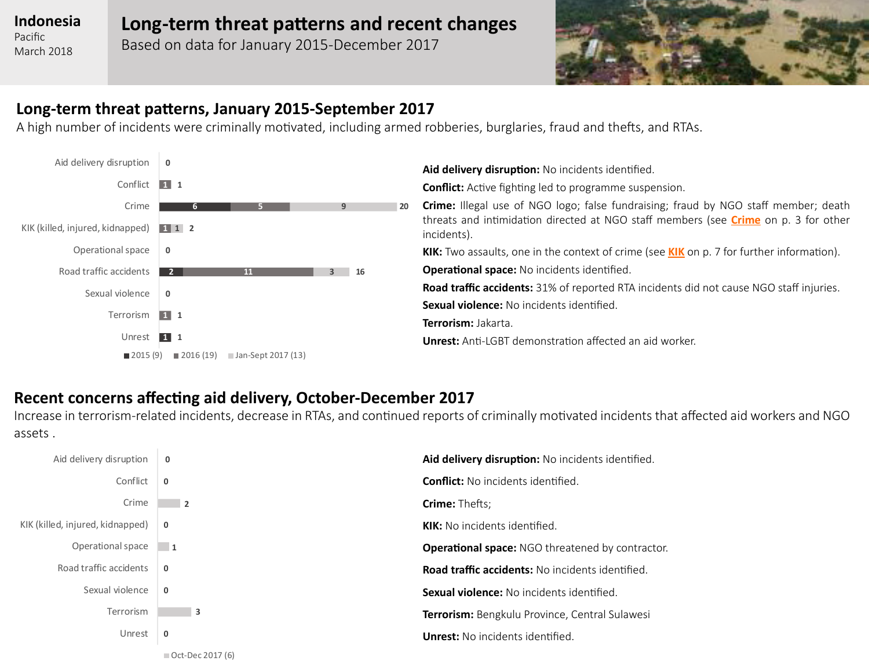Pacific March 2018

#### **Long-term threat patterns and recent changes**

Based on data for January 2015-December 2017



#### **Long-term threat patterns, January 2015-September 2017**

A high number of incidents were criminally motivated, including armed robberies, burglaries, fraud and thefts, and RTAs.



**Aid delivery disruption:** No incidents identified.

**Conflict:** Active fighting led to programme suspension.

**Crime:** Illegal use of NGO logo; false fundraising; fraud by NGO staff member; death threats and intimidation directed at NGO staff members (see **[Crime](#page-2-0)** on p. 3 for other incidents).

**KIK:** Two assaults, one in the context of crime (see **[KIK](#page-6-0)** on p. 7 for further information).

**Operational space:** No incidents identified.

**Road traffic accidents:** 31% of reported RTA incidents did not cause NGO staff injuries. **Sexual violence:** No incidents identified.

**Terrorism:** Jakarta.

**Unrest:** Anti-LGBT demonstration affected an aid worker.

#### **Recent concerns affecting aid delivery, October-December 2017**

Increase in terrorism-related incidents, decrease in RTAs, and continued reports of criminally motivated incidents that affected aid workers and NGO assets .

| Aid delivery disruption          | 0                        | Aid delivery disruption: No incidents identified.       |
|----------------------------------|--------------------------|---------------------------------------------------------|
| Conflict                         | $\mathbf{0}$             | <b>Conflict:</b> No incidents identified.               |
| Crime                            | $\overline{\phantom{a}}$ | <b>Crime: Thefts;</b>                                   |
| KIK (killed, injured, kidnapped) | $\mathbf{0}$             | <b>KIK:</b> No incidents identified.                    |
| Operational space                | $\overline{1}$           | <b>Operational space:</b> NGO threatened by contractor. |
| Road traffic accidents           | $\mathbf{0}$             | <b>Road traffic accidents:</b> No incidents identified. |
| Sexual violence                  | $\mathbf{0}$             | <b>Sexual violence:</b> No incidents identified.        |
| Terrorism                        | 3                        | Terrorism: Bengkulu Province, Central Sulawesi          |
| Unrest                           | $\mathbf 0$              | <b>Unrest:</b> No incidents identified.                 |
|                                  | $\Box$ Oct-Dec 2017 (6)  |                                                         |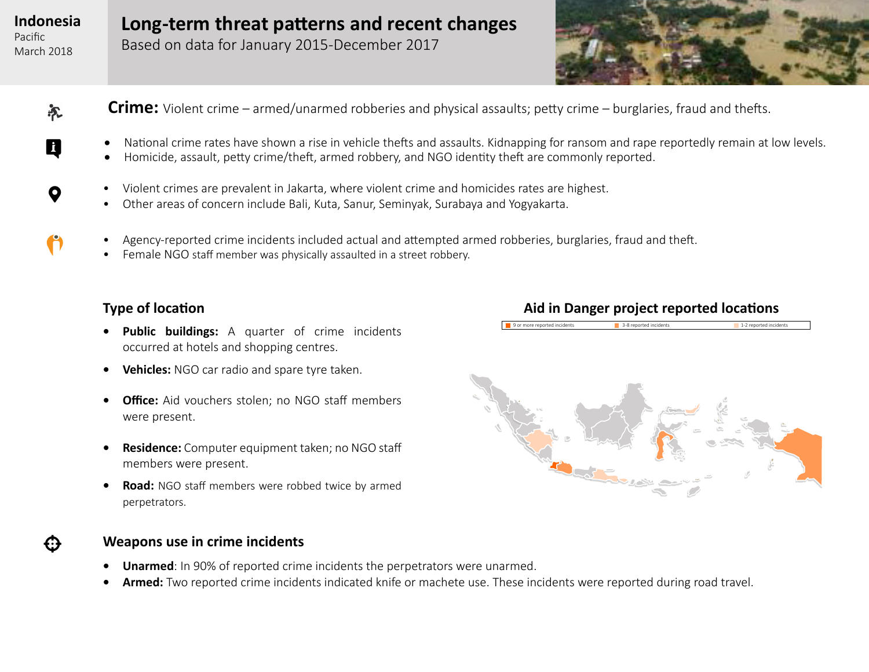$\boldsymbol{\mathsf{Q}}$ 

 $\ddot{\phantom{a}}$ 

永

0

€

<span id="page-2-0"></span>Pacific March 2018 **Long-term threat patterns and recent changes**

Based on data for January 2015-December 2017



- **Crime:** Violent crime armed/unarmed robberies and physical assaults; petty crime burglaries, fraud and thefts.
	- National crime rates have shown a rise in vehicle thefts and assaults. Kidnapping for ransom and rape reportedly remain at low levels.
	- Homicide, assault, petty crime/theft, armed robbery, and NGO identity theft are commonly reported.
	- Violent crimes are prevalent in Jakarta, where violent crime and homicides rates are highest.
	- Other areas of concern include Bali, Kuta, Sanur, Seminyak, Surabaya and Yogyakarta.
	- Agency-reported crime incidents included actual and attempted armed robberies, burglaries, fraud and theft.
	- Female NGO staff member was physically assaulted in a street robbery.

#### **Type of location**

- **• Public buildings:** A quarter of crime incidents occurred at hotels and shopping centres.
- **• Vehicles:** NGO car radio and spare tyre taken.
- **• Office:** Aid vouchers stolen; no NGO staff members were present.
- **• Residence:** Computer equipment taken; no NGO staff members were present.
- **• Road:** NGO staff members were robbed twice by armed perpetrators.

#### **Weapons use in crime incidents**

- **• Unarmed**: In 90% of reported crime incidents the perpetrators were unarmed.
- **Armed:** Two reported crime incidents indicated knife or machete use. These incidents were reported during road travel.

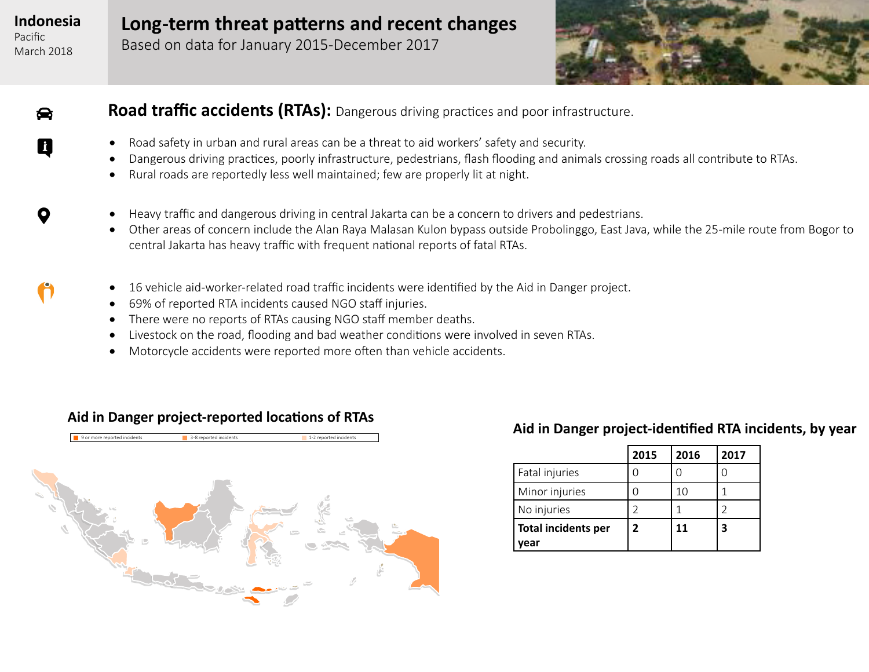$\bullet$ 

Q

 $\mathbf{o}$ 

Pacific March 2018 **Long-term threat patterns and recent changes**

Based on data for January 2015-December 2017



#### **Road traffic accidents (RTAs):** Dangerous driving practices and poor infrastructure.

- Road safety in urban and rural areas can be a threat to aid workers' safety and security.
- Dangerous driving practices, poorly infrastructure, pedestrians, flash flooding and animals crossing roads all contribute to RTAs.
- Rural roads are reportedly less well maintained; few are properly lit at night.
- Heavy traffic and dangerous driving in central Jakarta can be a concern to drivers and pedestrians.
- Other areas of concern include the Alan Raya Malasan Kulon bypass outside Probolinggo, East Java, while the 25-mile route from Bogor to central Jakarta has heavy traffic with frequent national reports of fatal RTAs.
- 16 vehicle aid-worker-related road traffic incidents were identified by the Aid in Danger project.
- • 69% of reported RTA incidents caused NGO staff injuries.
- There were no reports of RTAs causing NGO staff member deaths.
- Livestock on the road, flooding and bad weather conditions were involved in seven RTAs.
- Motorcycle accidents were reported more often than vehicle accidents.



#### **Aid in Danger project-reported locations of RTAs**

#### **Aid in Danger project-identified RTA incidents, by year**

|                            | 2015         | 2016 | 2017 |
|----------------------------|--------------|------|------|
| Fatal injuries             |              |      |      |
| Minor injuries             |              | 10   |      |
| No injuries                |              |      |      |
| <b>Total incidents per</b> | $\mathbf{z}$ | 11   |      |
| vear                       |              |      |      |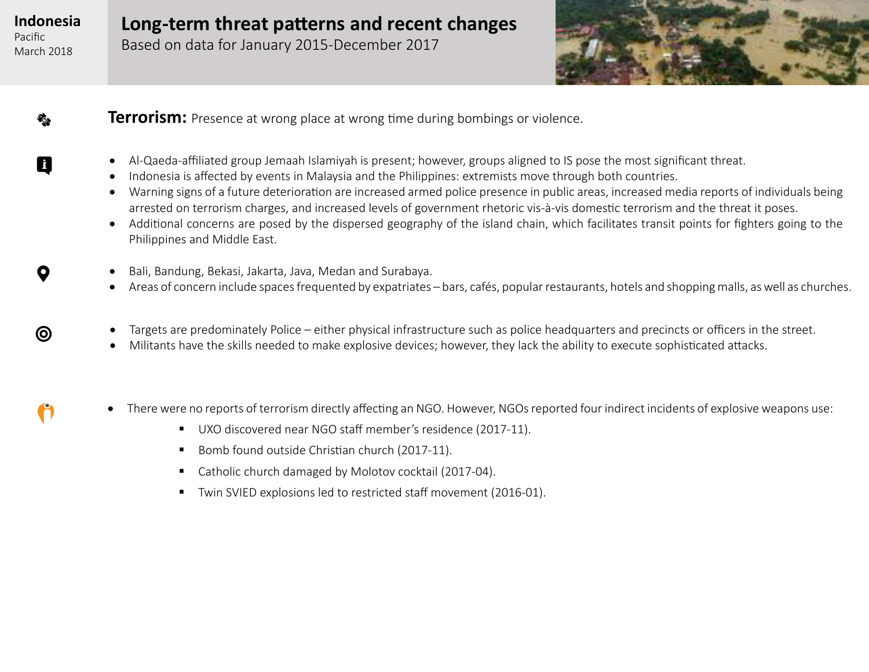Pacific March 2018

€

Q

 $\mathbf Q$ 

 $\odot$ 

## **Long-term threat patterns and recent changes**

Based on data for January 2015-December 2017



**Terrorism:** Presence at wrong place at wrong time during bombings or violence.

- • Al-Qaeda-affiliated group Jemaah Islamiyah is present; however, groups aligned to IS pose the most significant threat.
- Indonesia is affected by events in Malaysia and the Philippines: extremists move through both countries.
- Warning signs of a future deterioration are increased armed police presence in public areas, increased media reports of individuals being arrested on terrorism charges, and increased levels of government rhetoric vis-à-vis domestic terrorism and the threat it poses.
- Additional concerns are posed by the dispersed geography of the island chain, which facilitates transit points for fighters going to the Philippines and Middle East.
- • Bali, Bandung, Bekasi, Jakarta, Java, Medan and Surabaya.
- Areas of concern include spaces frequented by expatriates bars, cafés, popular restaurants, hotels and shopping malls, as well as churches.
- Targets are predominately Police either physical infrastructure such as police headquarters and precincts or officers in the street.
- Militants have the skills needed to make explosive devices; however, they lack the ability to execute sophisticated attacks.
- There were no reports of terrorism directly affecting an NGO. However, NGOs reported four indirect incidents of explosive weapons use:
	- UXO discovered near NGO staff member's residence (2017-11).
	- Bomb found outside Christian church (2017-11).
	- Catholic church damaged by Molotov cocktail (2017-04).
	- Twin SVIED explosions led to restricted staff movement (2016-01).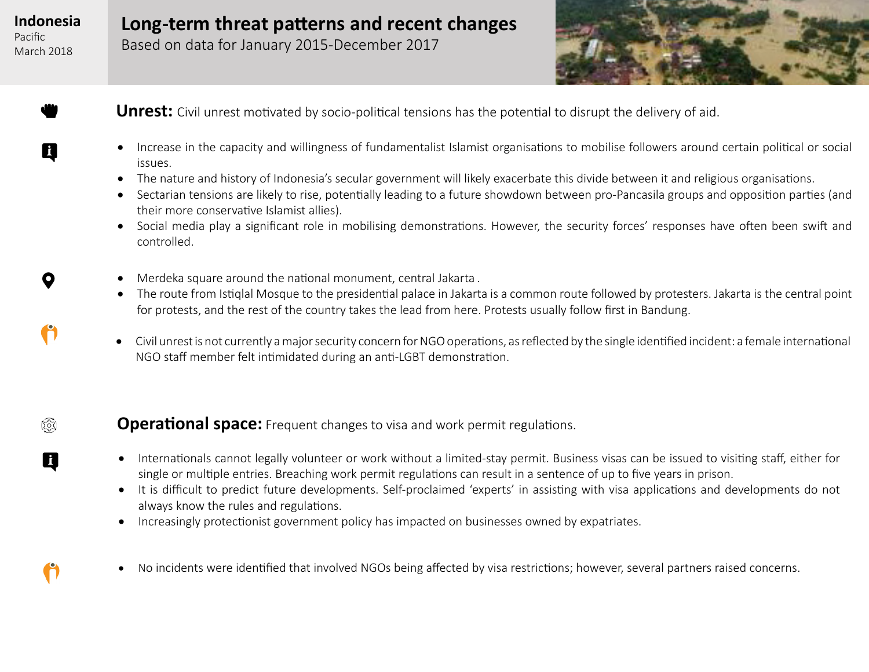Pacific March 2018

hand-rock

0

 $\mathbf Q$ 

 $\bullet$ 

(@)

0

**Long-term threat patterns and recent changes**

Based on data for January 2015-December 2017



**Unrest:** Civil unrest motivated by socio-political tensions has the potential to disrupt the delivery of aid.

- • Increase in the capacity and willingness of fundamentalist Islamist organisations to mobilise followers around certain political or social issues.
- The nature and history of Indonesia's secular government will likely exacerbate this divide between it and religious organisations.
- Sectarian tensions are likely to rise, potentially leading to a future showdown between pro-Pancasila groups and opposition parties (and their more conservative Islamist allies).
- Social media play a significant role in mobilising demonstrations. However, the security forces' responses have often been swift and controlled.
- Merdeka square around the national monument, central Jakarta.
- The route from Istiglal Mosque to the presidential palace in Jakarta is a common route followed by protesters. Jakarta is the central point for protests, and the rest of the country takes the lead from here. Protests usually follow first in Bandung.
- • Civil unrest is not currently a major security concern for NGO operations, as reflected by the single identified incident: a female international NGO staff member felt intimidated during an anti-LGBT demonstration.

#### **Operational space:** Frequent changes to visa and work permit regulations.

- Internationals cannot legally volunteer or work without a limited-stay permit. Business visas can be issued to visiting staff, either for single or multiple entries. Breaching work permit regulations can result in a sentence of up to five years in prison.
- It is difficult to predict future developments. Self-proclaimed 'experts' in assisting with visa applications and developments do not always know the rules and regulations.
- Increasingly protectionist government policy has impacted on businesses owned by expatriates.
- No incidents were identified that involved NGOs being affected by visa restrictions; however, several partners raised concerns.